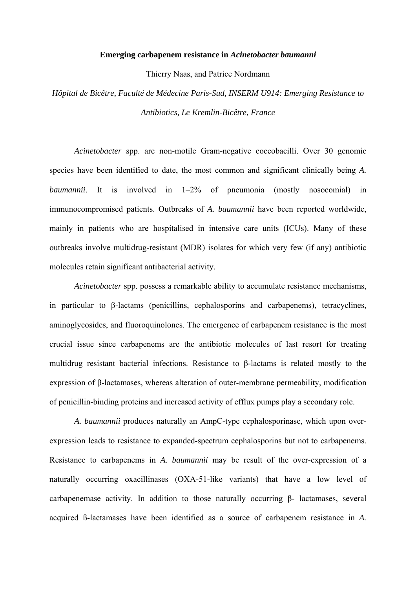## **Emerging carbapenem resistance in** *Acinetobacter baumanni*

Thierry Naas, and Patrice Nordmann

*Hôpital de Bicêtre, Faculté de Médecine Paris-Sud, INSERM U914: Emerging Resistance to Antibiotics, Le Kremlin-Bicêtre, France* 

 *Acinetobacter* spp. are non-motile Gram-negative coccobacilli. Over 30 genomic species have been identified to date, the most common and significant clinically being *A. baumannii*. It is involved in 1–2% of pneumonia (mostly nosocomial) in immunocompromised patients. Outbreaks of *A. baumannii* have been reported worldwide, mainly in patients who are hospitalised in intensive care units (ICUs). Many of these outbreaks involve multidrug-resistant (MDR) isolates for which very few (if any) antibiotic molecules retain significant antibacterial activity.

 *Acinetobacter* spp. possess a remarkable ability to accumulate resistance mechanisms, in particular to β-lactams (penicillins, cephalosporins and carbapenems), tetracyclines, aminoglycosides, and fluoroquinolones. The emergence of carbapenem resistance is the most crucial issue since carbapenems are the antibiotic molecules of last resort for treating multidrug resistant bacterial infections. Resistance to β-lactams is related mostly to the expression of β-lactamases, whereas alteration of outer-membrane permeability, modification of penicillin-binding proteins and increased activity of efflux pumps play a secondary role.

*A. baumannii* produces naturally an AmpC-type cephalosporinase, which upon overexpression leads to resistance to expanded-spectrum cephalosporins but not to carbapenems. Resistance to carbapenems in *A. baumannii* may be result of the over-expression of a naturally occurring oxacillinases (OXA-51-like variants) that have a low level of carbapenemase activity. In addition to those naturally occurring β- lactamases, several acquired ß-lactamases have been identified as a source of carbapenem resistance in *A.*